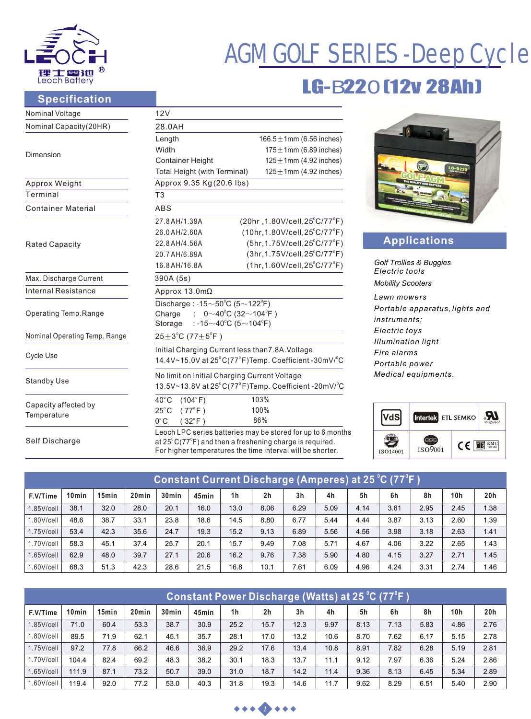

# AGM GOLF SERIES -Deep Cycle

## LG-B220 (12v 28Ah)

 $\sum_{M\text{H2686}}$ 

#### **Specification**

| Nominal Voltage                     | 12V                                                                                                                                        |                                                                                       |  |  |  |  |  |
|-------------------------------------|--------------------------------------------------------------------------------------------------------------------------------------------|---------------------------------------------------------------------------------------|--|--|--|--|--|
| Nominal Capacity(20HR)              | 28.0AH                                                                                                                                     |                                                                                       |  |  |  |  |  |
|                                     | 166.5 $\pm$ 1mm (6.56 inches)<br>Length                                                                                                    |                                                                                       |  |  |  |  |  |
| Dimension                           | Width<br>$175 \pm 1$ mm (6.89 inches)                                                                                                      |                                                                                       |  |  |  |  |  |
|                                     | $125 \pm 1$ mm (4.92 inches)<br><b>Container Height</b>                                                                                    |                                                                                       |  |  |  |  |  |
|                                     | $125 \pm 1$ mm (4.92 inches)<br>Total Height (with Terminal)                                                                               | LG-B220                                                                               |  |  |  |  |  |
| Approx Weight                       | Approx 9.35 Kg (20.6 lbs)                                                                                                                  |                                                                                       |  |  |  |  |  |
| Terminal                            | T <sub>3</sub>                                                                                                                             |                                                                                       |  |  |  |  |  |
| <b>Container Material</b>           | <b>ABS</b>                                                                                                                                 |                                                                                       |  |  |  |  |  |
|                                     | (20hr, 1.80V/cell, 25°C/77°F)<br>27.8 AH/1.39A                                                                                             |                                                                                       |  |  |  |  |  |
|                                     | $(10hr, 1.80V/cell, 25^{\circ}C/77^{\circ}F)$<br>26.0 AH/2.60A                                                                             |                                                                                       |  |  |  |  |  |
| <b>Rated Capacity</b>               | (5hr, 1.75V/cell, 25°C/77°F)<br>22.8 AH/4.56A                                                                                              | <b>Applications</b>                                                                   |  |  |  |  |  |
|                                     | (3hr, 1.75V/cell, 25°C/77°F)<br>20.7 AH/6.89A                                                                                              |                                                                                       |  |  |  |  |  |
|                                     | <b>Golf Trollies &amp; Buggies</b><br>$(1hr, 1.60V/cell, 25^{\circ}C/77^{\circ}F)$<br>16.8 AH/16.8 A<br>Electric tools                     |                                                                                       |  |  |  |  |  |
| Max. Discharge Current              | 390A (5s)                                                                                                                                  |                                                                                       |  |  |  |  |  |
| <b>Internal Resistance</b>          | Approx $13.0 \text{m}\Omega$                                                                                                               | <b>Mobility Scooters</b>                                                              |  |  |  |  |  |
|                                     | Discharge: $-15 \sim 50^{\circ}$ C (5 $\sim$ 122 $^{\circ}$ F)                                                                             | Lawn mowers<br>Portable apparatus, lights and<br><i>instruments:</i><br>Electric toys |  |  |  |  |  |
| Operating Temp.Range                | $0 \sim 40^{\circ}$ C (32 $\sim$ 104 $^{\circ}$ F)<br>Charge                                                                               |                                                                                       |  |  |  |  |  |
|                                     | : -15 $\sim$ 40°C (5 $\sim$ 104°F)<br>Storage                                                                                              |                                                                                       |  |  |  |  |  |
| Nominal Operating Temp. Range       | $25 \pm 3^{\circ}$ C (77 $\pm 5^{\circ}$ F)                                                                                                | <b>Illumination light</b>                                                             |  |  |  |  |  |
| Cycle Use                           | Initial Charging Current less than 7.8A. Voltage                                                                                           | Fire alarms                                                                           |  |  |  |  |  |
|                                     | 14.4V~15.0V at $25^{\circ}$ C(77 $^{\circ}$ F)Temp. Coefficient -30mV/ $^{\circ}$ C                                                        | Portable power                                                                        |  |  |  |  |  |
| <b>Standby Use</b>                  | No limit on Initial Charging Current Voltage                                                                                               | Medical equipments.                                                                   |  |  |  |  |  |
|                                     | 13.5V~13.8V at 25°C(77°F)Temp. Coefficient -20mV/°C                                                                                        |                                                                                       |  |  |  |  |  |
| Capacity affected by<br>Temperature | $40^{\circ}$ C<br>$(104^{\circ}F)$<br>103%                                                                                                 |                                                                                       |  |  |  |  |  |
|                                     | 100%<br>$25^{\circ}$ C<br>$(77^{\circ}F)$                                                                                                  | <b>R</b>                                                                              |  |  |  |  |  |
|                                     | 86%<br>$0^{\circ}$ C<br>$32^{\circ}$ F)                                                                                                    | <b>VdS</b><br>Intertek ETL SEMKO                                                      |  |  |  |  |  |
|                                     | Leoch LPC series batteries may be stored for up to 6 months                                                                                |                                                                                       |  |  |  |  |  |
| Self Discharge                      | at $25^{\circ}$ C(77 $^{\circ}$ F) and then a freshening charge is required.<br>For higher temperatures the time interval will be shorter. | t<br><b>EIS</b> EMC<br>C€<br>ISO9001                                                  |  |  |  |  |  |
|                                     |                                                                                                                                            | ISO14001                                                                              |  |  |  |  |  |

| <u> Constant Current Discharge (Amperes) at 25 °C (77°F )</u> |                   |       |                   |                   |       |                |                |                |                |      |      |      |      |                 |
|---------------------------------------------------------------|-------------------|-------|-------------------|-------------------|-------|----------------|----------------|----------------|----------------|------|------|------|------|-----------------|
| F.V/Time                                                      | 10 <sub>min</sub> | 15min | 20 <sub>min</sub> | 30 <sub>min</sub> | 45min | 1 <sub>h</sub> | 2 <sub>h</sub> | 3 <sub>h</sub> | 4 <sub>h</sub> | 5h   | 6h   | 8h   | 10h  | 20 <sub>h</sub> |
| $1.85$ V/cell                                                 | 38.1              | 32.0  | 28.0              | 20.1              | 16.0  | 13.0           | 8.06           | 6.29           | 5.09           | 4.14 | 3.61 | 2.95 | 2.45 | 1.38            |
| 1.80V/cell                                                    | 48.6              | 38.7  | 33.1              | 23.8              | 18.6  | 14.5           | 8.80           | 6.77           | 5.44           | 4.44 | 3.87 | 3.13 | 2.60 | 1.39            |
| $1.75$ V/cell                                                 | 53.4              | 42.3  | 35.6              | 24.7              | 19.3  | 15.2           | 9.13           | 6.89           | 5.56           | 4.56 | 3.98 | 3.18 | 2.63 | 1.41            |
| 1.70V/cell                                                    | 58.3              | 45.1  | 37.4              | 25.7              | 20.1  | 15.7           | 9.49           | 7.08           | 5.71           | 4.67 | 4.06 | 3.22 | 2.65 | 1.43            |
| $1.65$ V/cell                                                 | 62.9              | 48.0  | 39.7              | 27.1              | 20.6  | 16.2           | 9.76           | 7.38           | 5.90           | 4.80 | 4.15 | 3.27 | 2.71 | 1.45            |
| 1.60V/cell                                                    | 68.3              | 51.3  | 42.3              | 28.6              | 21.5  | 16.8           | 10.1           | 7.61           | 6.09           | 4.96 | 4.24 | 3.31 | 2.74 | 1.46            |

| Constant Power Discharge (Watts) at 25 °C (77°F) |                   |                   |                   |                   |       |                |                |                |      |      |      |      |      |      |
|--------------------------------------------------|-------------------|-------------------|-------------------|-------------------|-------|----------------|----------------|----------------|------|------|------|------|------|------|
| F.V/Time                                         | 10 <sub>min</sub> | 15 <sub>min</sub> | 20 <sub>min</sub> | 30 <sub>min</sub> | 45min | 1 <sub>h</sub> | 2 <sub>h</sub> | 3 <sub>h</sub> | 4h   | 5h   | 6h   | 8h   | 10h  | 20h  |
| $1.85$ V/cell                                    | 71.0              | 60.4              | 53.3              | 38.7              | 30.9  | 25.2           | 15.7           | 12.3           | 9.97 | 8.13 | 7.13 | 5.83 | 4.86 | 2.76 |
| 1.80V/cell                                       | 89.5              | 71.9              | 62.1              | 45.1              | 35.7  | 28.1           | 17.0           | 13.2           | 10.6 | 8.70 | 7.62 | 6.17 | 5.15 | 2.78 |
| $1.75$ V/cell                                    | 97.2              | 77.8              | 66.2              | 46.6              | 36.9  | 29.2           | 17.6           | 13.4           | 10.8 | 8.91 | 7.82 | 6.28 | 5.19 | 2.81 |
| 1.70V/cell                                       | 104.4             | 82.4              | 69.2              | 48.3              | 38.2  | 30.1           | 18.3           | 13.7           | 11.1 | 9.12 | 7.97 | 6.36 | 5.24 | 2.86 |
| $1.65$ V/cell                                    | 111.9             | 87.1              | 73.2              | 50.7              | 39.0  | 31.0           | 18.7           | 14.2           | 11.4 | 9.36 | 8.13 | 6.45 | 5.34 | 2.89 |
| l.60V/cell                                       | 119.4             | 92.0              | 77.2              | 53.0              | 40.3  | 31.8           | 19.3           | 14.6           | 11.7 | 9.62 | 8.29 | 6.51 | 5.40 | 2.90 |